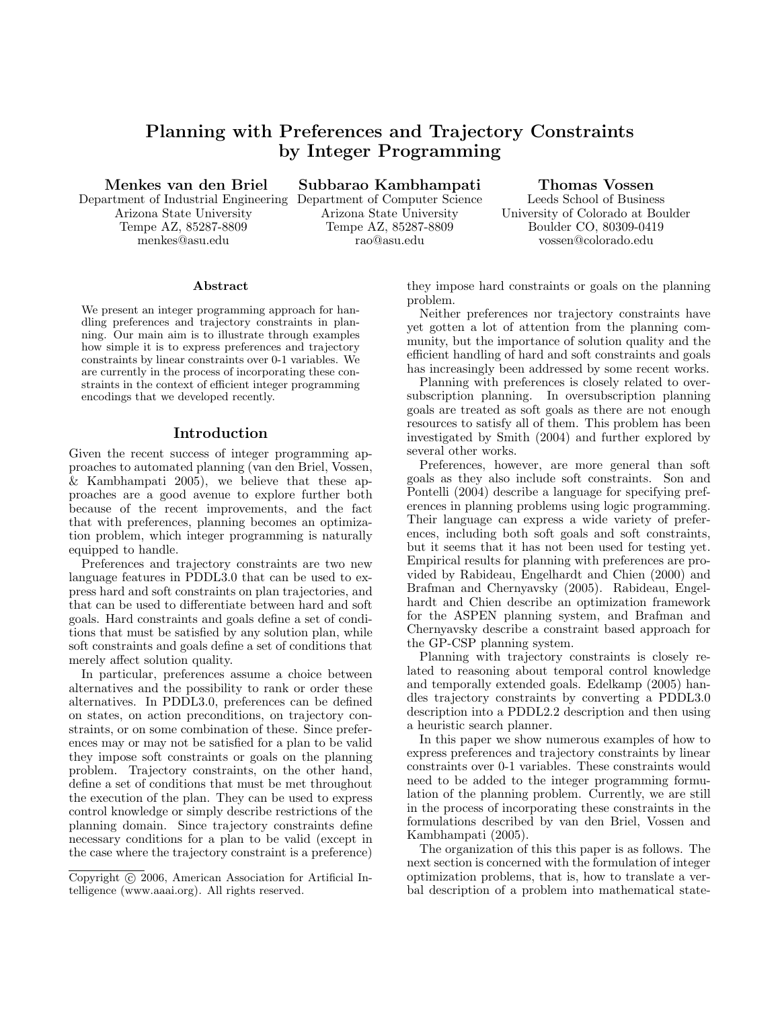# Planning with Preferences and Trajectory Constraints by Integer Programming

Menkes van den Briel

Department of Industrial Engineering Arizona State University Tempe AZ, 85287-8809 menkes@asu.edu

Subbarao Kambhampati

Department of Computer Science Arizona State University Tempe AZ, 85287-8809 rao@asu.edu

Thomas Vossen

Leeds School of Business University of Colorado at Boulder Boulder CO, 80309-0419 vossen@colorado.edu

#### Abstract

We present an integer programming approach for handling preferences and trajectory constraints in planning. Our main aim is to illustrate through examples how simple it is to express preferences and trajectory constraints by linear constraints over 0-1 variables. We are currently in the process of incorporating these constraints in the context of efficient integer programming encodings that we developed recently.

## Introduction

Given the recent success of integer programming approaches to automated planning (van den Briel, Vossen, & Kambhampati 2005), we believe that these approaches are a good avenue to explore further both because of the recent improvements, and the fact that with preferences, planning becomes an optimization problem, which integer programming is naturally equipped to handle.

Preferences and trajectory constraints are two new language features in PDDL3.0 that can be used to express hard and soft constraints on plan trajectories, and that can be used to differentiate between hard and soft goals. Hard constraints and goals define a set of conditions that must be satisfied by any solution plan, while soft constraints and goals define a set of conditions that merely affect solution quality.

In particular, preferences assume a choice between alternatives and the possibility to rank or order these alternatives. In PDDL3.0, preferences can be defined on states, on action preconditions, on trajectory constraints, or on some combination of these. Since preferences may or may not be satisfied for a plan to be valid they impose soft constraints or goals on the planning problem. Trajectory constraints, on the other hand, define a set of conditions that must be met throughout the execution of the plan. They can be used to express control knowledge or simply describe restrictions of the planning domain. Since trajectory constraints define necessary conditions for a plan to be valid (except in the case where the trajectory constraint is a preference)

Copyright (c) 2006, American Association for Artificial Intelligence (www.aaai.org). All rights reserved.

they impose hard constraints or goals on the planning problem.

Neither preferences nor trajectory constraints have yet gotten a lot of attention from the planning community, but the importance of solution quality and the efficient handling of hard and soft constraints and goals has increasingly been addressed by some recent works.

Planning with preferences is closely related to oversubscription planning. In oversubscription planning goals are treated as soft goals as there are not enough resources to satisfy all of them. This problem has been investigated by Smith (2004) and further explored by several other works.

Preferences, however, are more general than soft goals as they also include soft constraints. Son and Pontelli (2004) describe a language for specifying preferences in planning problems using logic programming. Their language can express a wide variety of preferences, including both soft goals and soft constraints, but it seems that it has not been used for testing yet. Empirical results for planning with preferences are provided by Rabideau, Engelhardt and Chien (2000) and Brafman and Chernyavsky (2005). Rabideau, Engelhardt and Chien describe an optimization framework for the ASPEN planning system, and Brafman and Chernyavsky describe a constraint based approach for the GP-CSP planning system.

Planning with trajectory constraints is closely related to reasoning about temporal control knowledge and temporally extended goals. Edelkamp (2005) handles trajectory constraints by converting a PDDL3.0 description into a PDDL2.2 description and then using a heuristic search planner.

In this paper we show numerous examples of how to express preferences and trajectory constraints by linear constraints over 0-1 variables. These constraints would need to be added to the integer programming formulation of the planning problem. Currently, we are still in the process of incorporating these constraints in the formulations described by van den Briel, Vossen and Kambhampati (2005).

The organization of this this paper is as follows. The next section is concerned with the formulation of integer optimization problems, that is, how to translate a verbal description of a problem into mathematical state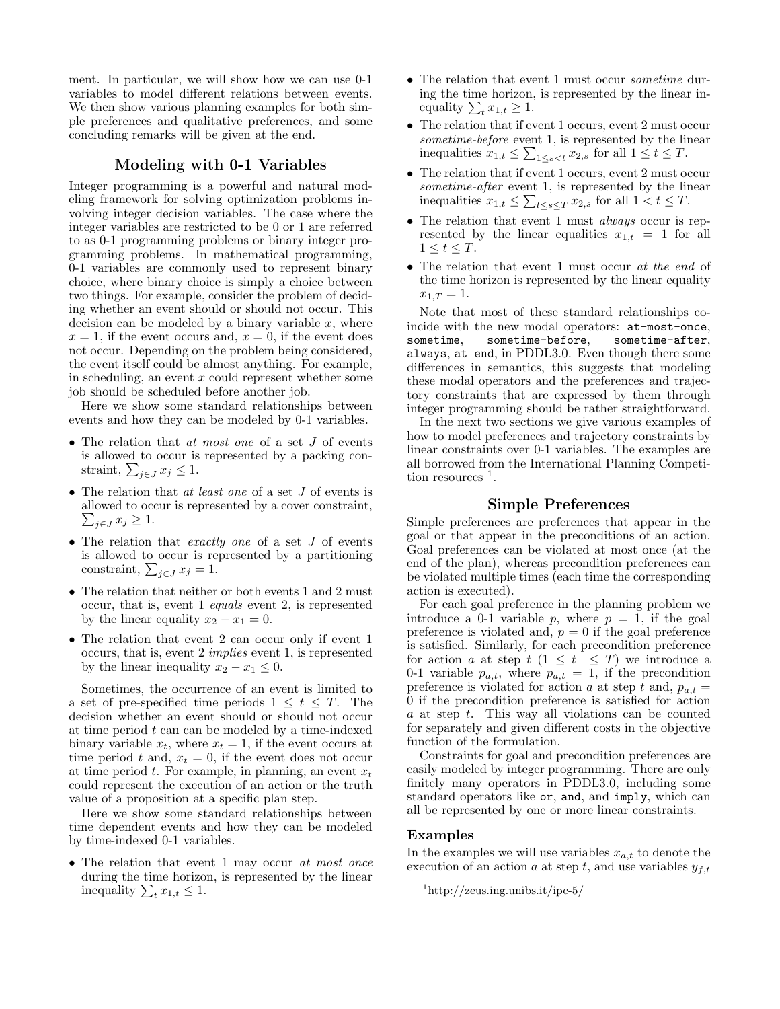ment. In particular, we will show how we can use 0-1 variables to model different relations between events. We then show various planning examples for both simple preferences and qualitative preferences, and some concluding remarks will be given at the end.

## Modeling with 0-1 Variables

Integer programming is a powerful and natural modeling framework for solving optimization problems involving integer decision variables. The case where the integer variables are restricted to be 0 or 1 are referred to as 0-1 programming problems or binary integer programming problems. In mathematical programming, 0-1 variables are commonly used to represent binary choice, where binary choice is simply a choice between two things. For example, consider the problem of deciding whether an event should or should not occur. This decision can be modeled by a binary variable  $x$ , where  $x = 1$ , if the event occurs and,  $x = 0$ , if the event does not occur. Depending on the problem being considered, the event itself could be almost anything. For example, in scheduling, an event  $x$  could represent whether some job should be scheduled before another job.

Here we show some standard relationships between events and how they can be modeled by 0-1 variables.

- The relation that at most one of a set J of events is allowed to occur is represented by a packing constraint,  $\sum_{j\in J} x_j \leq 1$ .
- The relation that at least one of a set J of events is allowed to occur is represented by a cover constraint,  $\sum_{j\in J} x_j \geq 1.$
- The relation that exactly one of a set  $J$  of events is allowed to occur is represented by a partitioning constraint,  $\sum_{j\in J} x_j = 1$ .
- The relation that neither or both events 1 and 2 must occur, that is, event 1 equals event 2, is represented by the linear equality  $x_2 - x_1 = 0$ .
- The relation that event 2 can occur only if event 1 occurs, that is, event 2 implies event 1, is represented by the linear inequality  $x_2 - x_1 \leq 0$ .

Sometimes, the occurrence of an event is limited to a set of pre-specified time periods  $1 \leq t \leq T$ . The decision whether an event should or should not occur at time period  $t$  can can be modeled by a time-indexed binary variable  $x_t$ , where  $x_t = 1$ , if the event occurs at time period t and,  $x_t = 0$ , if the event does not occur at time period  $t$ . For example, in planning, an event  $x_t$ could represent the execution of an action or the truth value of a proposition at a specific plan step.

Here we show some standard relationships between time dependent events and how they can be modeled by time-indexed 0-1 variables.

• The relation that event 1 may occur at most once during the time horizon, is represented by the linear inequality  $\sum_{t} x_{1,t} \leq 1$ .

- The relation that event 1 must occur *sometime* during the time horizon, is represented by the linear inequality  $\sum_{t} x_{1,t} \geq 1$ .
- The relation that if event 1 occurs, event 2 must occur sometime-before event 1, is represented by the linear inequalities  $x_{1,t} \leq \sum_{1 \leq s < t} x_{2,s}$  for all  $1 \leq t \leq T$ .
- The relation that if event 1 occurs, event 2 must occur sometime-after event 1, is represented by the linear inequalities  $x_{1,t} \leq \sum_{t \leq s \leq T} x_{2,s}$  for all  $1 < t \leq T$ .
- The relation that event 1 must *always* occur is represented by the linear equalities  $x_{1,t} = 1$  for all  $1 \leq t \leq T$ .
- The relation that event 1 must occur at the end of the time horizon is represented by the linear equality  $x_{1,T} = 1.$

Note that most of these standard relationships coincide with the new modal operators: at-most-once, sometime, sometime-before, sometime-after, always, at end, in PDDL3.0. Even though there some differences in semantics, this suggests that modeling these modal operators and the preferences and trajectory constraints that are expressed by them through integer programming should be rather straightforward.

In the next two sections we give various examples of how to model preferences and trajectory constraints by linear constraints over 0-1 variables. The examples are all borrowed from the International Planning Competition resources <sup>1</sup>.

## Simple Preferences

Simple preferences are preferences that appear in the goal or that appear in the preconditions of an action. Goal preferences can be violated at most once (at the end of the plan), whereas precondition preferences can be violated multiple times (each time the corresponding action is executed).

For each goal preference in the planning problem we introduce a 0-1 variable p, where  $p = 1$ , if the goal preference is violated and,  $p = 0$  if the goal preference is satisfied. Similarly, for each precondition preference for action a at step  $t$   $(1 \leq t \leq T)$  we introduce a 0-1 variable  $p_{a,t}$ , where  $p_{a,t} = 1$ , if the precondition preference is violated for action a at step t and,  $p_{a,t} =$ 0 if the precondition preference is satisfied for action  $a$  at step  $t$ . This way all violations can be counted for separately and given different costs in the objective function of the formulation.

Constraints for goal and precondition preferences are easily modeled by integer programming. There are only finitely many operators in PDDL3.0, including some standard operators like or, and, and imply, which can all be represented by one or more linear constraints.

#### Examples

In the examples we will use variables  $x_{a,t}$  to denote the execution of an action a at step t, and use variables  $y_{f,t}$ 

<sup>1</sup>http://zeus.ing.unibs.it/ipc-5/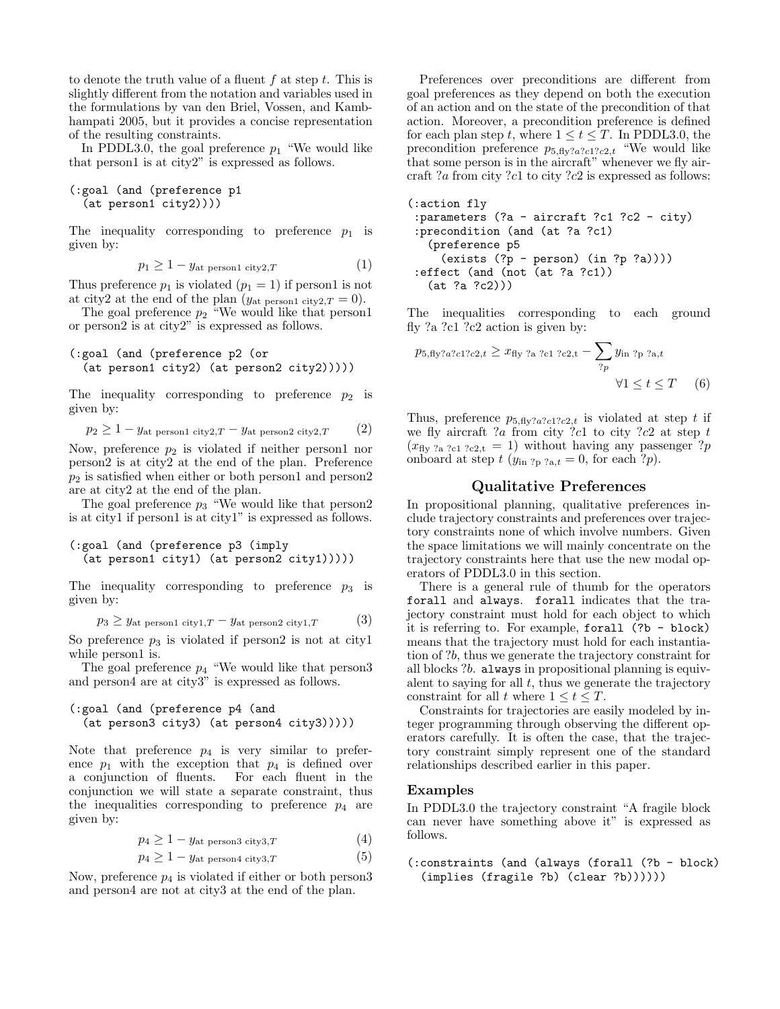to denote the truth value of a fluent f at step t. This is slightly different from the notation and variables used in the formulations by van den Briel, Vossen, and Kambhampati 2005, but it provides a concise representation of the resulting constraints.

In PDDL3.0, the goal preference  $p_1$  "We would like that person1 is at city2" is expressed as follows.

```
(:goal (and (preference p1
(at person1 city2))))
```
The inequality corresponding to preference  $p_1$  is given by:

$$
p_1 \ge 1 - y_{\text{at person1 city2},T} \tag{1}
$$

Thus preference  $p_1$  is violated  $(p_1 = 1)$  if person1 is not at city2 at the end of the plan ( $y_{\text{at person1 city2},T} = 0$ ).

The goal preference  $p_2$  "We would like that person1 or person2 is at city2" is expressed as follows.

```
(:goal (and (preference p2 (or
(at person1 city2) (at person2 city2)))))
```
The inequality corresponding to preference  $p_2$  is given by:

```
p_2 \geq 1 - y_{\text{at person1 city2},T} - y_{\text{at person2 city2},T} (2)
```
Now, preference  $p_2$  is violated if neither person1 nor person2 is at city2 at the end of the plan. Preference  $p_2$  is satisfied when either or both person1 and person2 are at city2 at the end of the plan.

The goal preference  $p_3$  "We would like that person2 is at city1 if person1 is at city1" is expressed as follows.

```
(:goal (and (preference p3 (imply
 (at person1 city1) (at person2 city1)))))
```
The inequality corresponding to preference  $p_3$  is given by:

$$
p_3 \ge y_{\text{at person1 city1},T} - y_{\text{at person2 city1},T} \tag{3}
$$

So preference  $p_3$  is violated if person2 is not at city1 while person1 is.

The goal preference  $p_4$  "We would like that person3 and person4 are at city3" is expressed as follows.

```
(:goal (and (preference p4 (and
 (at person3 city3) (at person4 city3)))))
```
Note that preference  $p_4$  is very similar to preference  $p_1$  with the exception that  $p_4$  is defined over a conjunction of fluents. For each fluent in the conjunction we will state a separate constraint, thus the inequalities corresponding to preference  $p_4$  are given by:

$$
p_4 \ge 1 - y_{\text{at person3 city3},T} \tag{4}
$$

$$
p_4 \ge 1 - y_{\text{at person4 city3},T} \tag{5}
$$

Now, preference  $p_4$  is violated if either or both persons and person4 are not at city3 at the end of the plan.

Preferences over preconditions are different from goal preferences as they depend on both the execution of an action and on the state of the precondition of that action. Moreover, a precondition preference is defined for each plan step t, where  $1 \le t \le T$ . In PDDL3.0, the precondition preference  $p_{5,\text{fly?}a?c1?c2,t}$  "We would like that some person is in the aircraft" whenever we fly aircraft ?a from city ?c1 to city ?c2 is expressed as follows:

```
(:action fly
:parameters (?a - aircraft ?c1 ?c2 - city)
:precondition (and (at ?a ?c1)
  (preference p5
    (exists (?p - person) (in ?p ?a))))
:effect (and (not (at ?a ?c1))
  (at ?a ?c2)))
```
The inequalities corresponding to each ground fly ?a ?c1 ?c2 action is given by:

$$
p_{5,fly?a?c1?c2,t} \ge x_{fly?a?c1?c2,t} - \sum_{?p} y_{in?p?a,t}
$$
  
 
$$
\forall 1 \le t \le T \qquad (6)
$$

Thus, preference  $p_{5,\text{fly?}a?c1?c2,t}$  is violated at step t if we fly aircraft ?a from city ?c1 to city ?c2 at step  $t$  $(x_{\text{fly 2a ?c1 ?c2,t}} = 1)$  without having any passenger ?p onboard at step  $t$  ( $y_{\text{in }?p}$   $_{2a,t} = 0$ , for each  $?p$ ).

## Qualitative Preferences

In propositional planning, qualitative preferences include trajectory constraints and preferences over trajectory constraints none of which involve numbers. Given the space limitations we will mainly concentrate on the trajectory constraints here that use the new modal operators of PDDL3.0 in this section.

There is a general rule of thumb for the operators forall and always. forall indicates that the trajectory constraint must hold for each object to which it is referring to. For example, forall (?b - block) means that the trajectory must hold for each instantiation of ?b, thus we generate the trajectory constraint for all blocks ?b. always in propositional planning is equivalent to saying for all  $t$ , thus we generate the trajectory constraint for all t where  $1 \le t \le T$ .

Constraints for trajectories are easily modeled by integer programming through observing the different operators carefully. It is often the case, that the trajectory constraint simply represent one of the standard relationships described earlier in this paper.

#### Examples

In PDDL3.0 the trajectory constraint "A fragile block can never have something above it" is expressed as follows.

(:constraints (and (always (forall (?b - block) (implies (fragile ?b) (clear ?b))))))